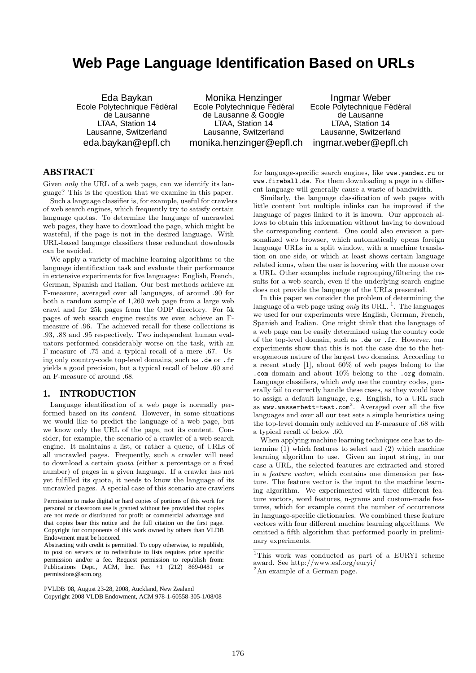# **Web Page Language Identification Based on URLs**

Eda Baykan Ecole Polytechnique Fédéral de Lausanne LTAA, Station 14 Lausanne, Switzerland eda.baykan@epfl.ch

Monika Henzinger Ecole Polytechnique Fédéral de Lausanne & Google LTAA, Station 14 Lausanne, Switzerland monika.henzinger@epfl.ch

Ingmar Weber Ecole Polytechnique Fédéral de Lausanne LTAA, Station 14 Lausanne, Switzerland ingmar.weber@epfl.ch

# **ABSTRACT**

Given *only* the URL of a web page, can we identify its language? This is the question that we examine in this paper.

Such a language classifier is, for example, useful for crawlers of web search engines, which frequently try to satisfy certain language quotas. To determine the language of uncrawled web pages, they have to download the page, which might be wasteful, if the page is not in the desired language. With URL-based language classifiers these redundant downloads can be avoided.

We apply a variety of machine learning algorithms to the language identification task and evaluate their performance in extensive experiments for five languages: English, French, German, Spanish and Italian. Our best methods achieve an F-measure, averaged over all languages, of around .90 for both a random sample of 1,260 web page from a large web crawl and for 25k pages from the ODP directory. For 5k pages of web search engine results we even achieve an Fmeasure of .96. The achieved recall for these collections is .93, .88 and .95 respectively. Two independent human evaluators performed considerably worse on the task, with an F-measure of .75 and a typical recall of a mere .67. Using only country-code top-level domains, such as .de or .fr yields a good precision, but a typical recall of below .60 and an F-measure of around .68.

## **1. INTRODUCTION**

Language identification of a web page is normally performed based on its content. However, in some situations we would like to predict the language of a web page, but we know only the URL of the page, not its content. Consider, for example, the scenario of a crawler of a web search engine. It maintains a list, or rather a queue, of URLs of all uncrawled pages. Frequently, such a crawler will need to download a certain quota (either a percentage or a fixed number) of pages in a given language. If a crawler has not yet fulfilled its quota, it needs to know the language of its uncrawled pages. A special case of this scenario are crawlers

are not made or distributed for profit or commercial advantage and that copies bear this notice and the full citation on the first page. Copyright for components of this work owned by others than VLDB Endowment must be honored. Permission to make digital or hard copies of portions of this work for personal or classroom use is granted without fee provided that copies

Abstracting with credit is permitted. To copy otherwise, to republish, to post on servers or to redistribute to lists requires prior specific permission and/or a fee. Request permission to republish from: Publications Dept., ACM, Inc. Fax +1 (212) 869-0481 or permissions@acm.org.

PVLDB '08, August 23-28, 2008, Auckland, New Zealand Copyright 2008 VLDB Endowment, ACM 978-1-60558-305-1/08/08

for language-specific search engines, like www.yandex.ru or www.fireball.de. For them downloading a page in a different language will generally cause a waste of bandwidth.

Similarly, the language classification of web pages with little content but multiple inlinks can be improved if the language of pages linked to it is known. Our approach allows to obtain this information without having to download the corresponding content. One could also envision a personalized web browser, which automatically opens foreign language URLs in a split window, with a machine translation on one side, or which at least shows certain language related icons, when the user is hovering with the mouse over a URL. Other examples include regrouping/filtering the results for a web search, even if the underlying search engine does not provide the language of the URLs presented.

In this paper we consider the problem of determining the language of a web page using *only* its URL.<sup>1</sup>. The languages we used for our experiments were English, German, French, Spanish and Italian. One might think that the language of a web page can be easily determined using the country code of the top-level domain, such as .de or .fr. However, our experiments show that this is not the case due to the heterogeneous nature of the largest two domains. According to a recent study [1], about 60% of web pages belong to the .com domain and about 10% belong to the .org domain. Language classifiers, which only use the country codes, generally fail to correctly handle these cases, as they would have to assign a default language, e.g. English, to a URL such as  $www.wasserbett-test.com<sup>2</sup>$ . Averaged over all the five languages and over all our test sets a simple heuristics using the top-level domain only achieved an F-measure of .68 with a typical recall of below .60.

When applying machine learning techniques one has to determine (1) which features to select and (2) which machine learning algorithm to use. Given an input string, in our case a URL, the selected features are extracted and stored in a feature vector, which contains one dimension per feature. The feature vector is the input to the machine learning algorithm. We experimented with three different feature vectors, word features, n-grams and custom-made features, which for example count the number of occurrences in language-specific dictionaries. We combined these feature vectors with four different machine learning algorithms. We omitted a fifth algorithm that performed poorly in preliminary experiments.

<sup>1</sup>This work was conducted as part of a EURYI scheme award. See http://www.esf.org/euryi/

<sup>&</sup>lt;sup>2</sup>An example of a German page.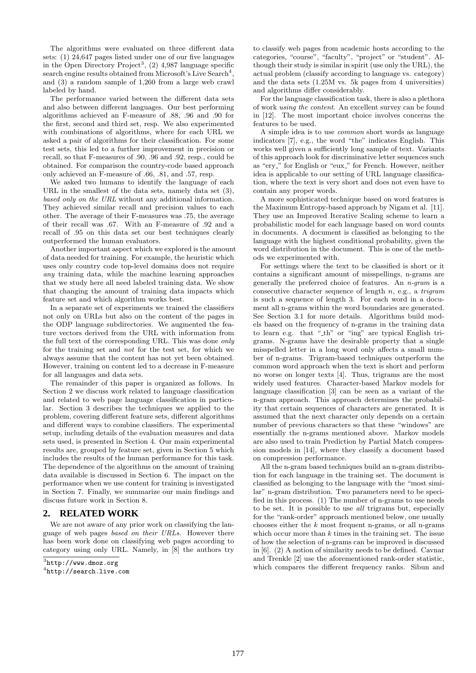The algorithms were evaluated on three different data sets: (1) 24,647 pages listed under one of our five languages in the Open Directory  $Project<sup>3</sup>, (2)$  4,987 language specific search engine results obtained from Microsoft's Live Search<sup>4</sup>, and (3) a random sample of 1,260 from a large web crawl labeled by hand.

The performance varied between the different data sets and also between different languages. Our best performing algorithms achieved an F-measure of .88, .96 and .90 for the first, second and third set, resp. We also experimented with combinations of algorithms, where for each URL we asked a pair of algorithms for their classification. For some test sets, this led to a further improvement in precision or recall, so that F-measures of .90, .96 and .92, resp., could be obtained. For comparison the country-code based approach only achieved an F-measure of .66, .81, and .57, resp.

We asked two humans to identify the language of each URL in the smallest of the data sets, namely data set  $(3)$ , based only on the URL without any additional information. They achieved similar recall and precision values to each other. The average of their F-measures was .75, the average of their recall was .67. With an F-measure of .92 and a recall of .95 on this data set our best techniques clearly outperformed the human evaluators.

Another important aspect which we explored is the amount of data needed for training. For example, the heuristic which uses only country code top-level domains does not require any training data, while the machine learning approaches that we study here all need labeled training data. We show that changing the amount of training data impacts which feature set and which algorithm works best.

In a separate set of experiments we trained the classifiers not only on URLs but also on the content of the pages in the ODP language subdirectories. We augmented the feature vectors derived from the URL with information from the full text of the corresponding URL. This was done only for the training set and not for the test set, for which we always assume that the content has not yet been obtained. However, training on content led to a decrease in F-measure for all languages and data sets.

The remainder of this paper is organized as follows. In Section 2 we discuss work related to language classification and related to web page language classification in particular. Section 3 describes the techniques we applied to the problem, covering different feature sets, different algorithms and different ways to combine classifiers. The experimental setup, including details of the evaluation measures and data sets used, is presented in Section 4. Our main experimental results are, grouped by feature set, given in Section 5 which includes the results of the human performance for this task. The dependence of the algorithms on the amount of training data available is discussed in Section 6. The impact on the performance when we use content for training is investigated in Section 7. Finally, we summarize our main findings and discuss future work in Section 8.

## **2. RELATED WORK**

We are not aware of any prior work on classifying the language of web pages based on their URLs. However there has been work done on classifying web pages according to category using only URL. Namely, in [8] the authors try

to classify web pages from academic hosts according to the categories, "course", "faculty", "project" or "student". Although their study is similar in spirit (use only the URL), the actual problem (classify according to language vs. category) and the data sets (1.25M vs. 5k pages from 4 universities) and algorithms differ considerably.

For the language classification task, there is also a plethora of work using the content. An excellent survey can be found in [12]. The most important choice involves concerns the features to be used.

A simple idea is to use common short words as language indicators [7], e.g., the word "the" indicates English. This works well given a sufficiently long sample of text. Variants of this approach look for discriminative letter sequences such as "ery " for English or "eux " for French. However, neither idea is applicable to our setting of URL language classification, where the text is very short and does not even have to contain any proper words.

A more sophisticated technique based on word features is the Maximum Entropy-based approach by Nigam et al. [11]. They use an Improved Iterative Scaling scheme to learn a probabilistic model for each language based on word counts in documents. A document is classified as belonging to the language with the highest conditional probability, given the word distribution in the document. This is one of the methods we experimented with.

For settings where the text to be classified is short or it contains a significant amount of misspellings, n-grams are generally the preferred choice of features. An n-gram is a consecutive character sequence of length  $n$ , e.g., a *trigram* is such a sequence of length 3. For each word in a document all n-grams within the word boundaries are generated. See Section 3.1 for more details. Algorithms build models based on the frequency of n-grams in the training data to learn e.g. that "\_th" or "ing" are typical English trigrams. N-grams have the desirable property that a single misspelled letter in a long word only affects a small number of n-grams. Trigram-based techniques outperform the common word approach when the text is short and perform no worse on longer texts [4]. Thus, trigrams are the most widely used features. Character-based Markov models for language classification [3] can be seen as a variant of the n-gram approach. This approach determines the probability that certain sequences of characters are generated. It is assumed that the next character only depends on a certain number of previous characters so that these "windows" are essentially the n-grams mentioned above. Markov models are also used to train Prediction by Partial Match compression models in [14], where they classify a document based on compression performance.

All the n-gram based techniques build an n-gram distribution for each language in the training set. The document is classified as belonging to the language with the "most similar" n-gram distribution. Two parameters need to be specified in this process. (1) The number of n-grams to use needs to be set. It is possible to use all trigrams but, especially for the "rank-order" approach mentioned below, one usually chooses either the  $k$  most frequent n-grams, or all n-grams which occur more than  $k$  times in the training set. The issue of how the selection of n-grams can be improved is discussed in [6]. (2) A notion of similarity needs to be defined. Cavnar and Trenkle [2] use the aforementioned rank-order statistic, which compares the different frequency ranks. Sibun and

 ${}^{3}$ http://www.dmoz.org

<sup>4</sup> http://search.live.com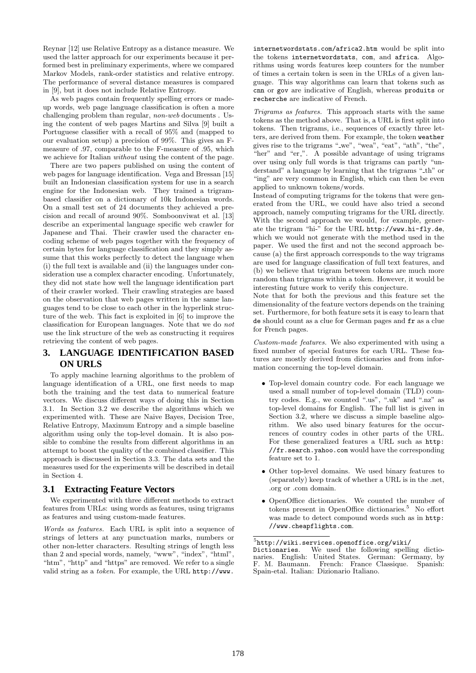Reynar [12] use Relative Entropy as a distance measure. We used the latter approach for our experiments because it performed best in preliminary experiments, where we compared Markov Models, rank-order statistics and relative entropy. The performance of several distance measures is compared in [9], but it does not include Relative Entropy.

As web pages contain frequently spelling errors or madeup words, web page language classification is often a more challenging problem than regular, non-web documents . Using the content of web pages Martins and Silva [9] built a Portuguese classifier with a recall of 95% and (mapped to our evaluation setup) a precision of 99%. This gives an Fmeasure of .97, comparable to the F-measure of .95, which we achieve for Italian without using the content of the page.

There are two papers published on using the content of web pages for language identification. Vega and Bressan [15] built an Indonesian classification system for use in a search engine for the Indonesian web. They trained a trigrambased classifier on a dictionary of 10k Indonesian words. On a small test set of 24 documents they achieved a precision and recall of around 90%. Somboonviwat et al. [13] describe an experimental language specific web crawler for Japanese and Thai. Their crawler used the character encoding scheme of web pages together with the frequency of certain bytes for language classification and they simply assume that this works perfectly to detect the language when (i) the full text is available and (ii) the languages under consideration use a complex character encoding. Unfortunately, they did not state how well the language identification part of their crawler worked. Their crawling strategies are based on the observation that web pages written in the same languages tend to be close to each other in the hyperlink structure of the web. This fact is exploited in [6] to improve the classification for European languages. Note that we do not use the link structure of the web as constructing it requires retrieving the content of web pages.

# **3. LANGUAGE IDENTIFICATION BASED ON URLS**

To apply machine learning algorithms to the problem of language identification of a URL, one first needs to map both the training and the test data to numerical feature vectors. We discuss different ways of doing this in Section 3.1. In Section 3.2 we describe the algorithms which we experimented with. These are Naive Bayes, Decision Tree, Relative Entropy, Maximum Entropy and a simple baseline algorithm using only the top-level domain. It is also possible to combine the results from different algorithms in an attempt to boost the quality of the combined classifier. This approach is discussed in Section 3.3. The data sets and the measures used for the experiments will be described in detail in Section 4.

## **3.1 Extracting Feature Vectors**

We experimented with three different methods to extract features from URLs: using words as features, using trigrams as features and using custom-made features.

Words as features. Each URL is split into a sequence of strings of letters at any punctuation marks, numbers or other non-letter characters. Resulting strings of length less than 2 and special words, namely, "www", "index", "html", "htm", "http" and "https" are removed. We refer to a single valid string as a token. For example, the URL http://www.

internetwordstats.com/africa2.htm would be split into the tokens internetwordstats, com, and africa. Algorithms using words features keep counters for the number of times a certain token is seen in the URLs of a given language. This way algorithms can learn that tokens such as cnn or gov are indicative of English, whereas produits or recherche are indicative of French.

Trigrams as features. This approach starts with the same tokens as the method above. That is, a URL is first split into tokens. Then trigrams, i.e., sequences of exactly three letters, are derived from them. For example, the token weather gives rise to the trigrams "-we", "wea", "eat", "ath", "the", "her" and "er\_". A possible advantage of using trigrams over using only full words is that trigrams can partly "understand" a language by learning that the trigrams "\_th" or "ing" are very common in English, which can then be even applied to unknown tokens/words.

Instead of computing trigrams for the tokens that were generated from the URL, we could have also tried a second approach, namely computing trigrams for the URL directly. With the second approach we would, for example, generate the trigram "hi-" for the URL http://www.hi-fly.de, which we would not generate with the method used in the paper. We used the first and not the second approach because (a) the first approach corresponds to the way trigrams are used for language classification of full text features, and (b) we believe that trigram between tokens are much more random than trigrams within a token. However, it would be interesting future work to verify this conjecture.

Note that for both the previous and this feature set the dimensionality of the feature vectors depends on the training set. Furthermore, for both feature sets it is easy to learn that de should count as a clue for German pages and fr as a clue for French pages.

Custom-made features. We also experimented with using a fixed number of special features for each URL. These features are mostly derived from dictionaries and from information concerning the top-level domain.

- Top-level domain country code. For each language we used a small number of top-level domain (TLD) country codes. E.g., we counted ".us", ".uk" and ".nz" as top-level domains for English. The full list is given in Section 3.2, where we discuss a simple baseline algorithm. We also used binary features for the occurrences of country codes in other parts of the URL. For these generalized features a URL such as http: //fr.search.yahoo.com would have the corresponding feature set to 1.
- Other top-level domains. We used binary features to (separately) keep track of whether a URL is in the .net, .org or .com domain.
- OpenOffice dictionaries. We counted the number of tokens present in OpenOffice dictionaries.<sup>5</sup> No effort was made to detect compound words such as in http: //www.cheapflights.com.

<sup>5</sup> http://wiki.services.openoffice.org/wiki/

Dictionaries. We used the following spelling dictionaries. English: United States. German: Germany, by F. M. Baumann. French: France Classique. Spanish: French: France Classique. Spanish: Spain-etal. Italian: Dizionario Italiano.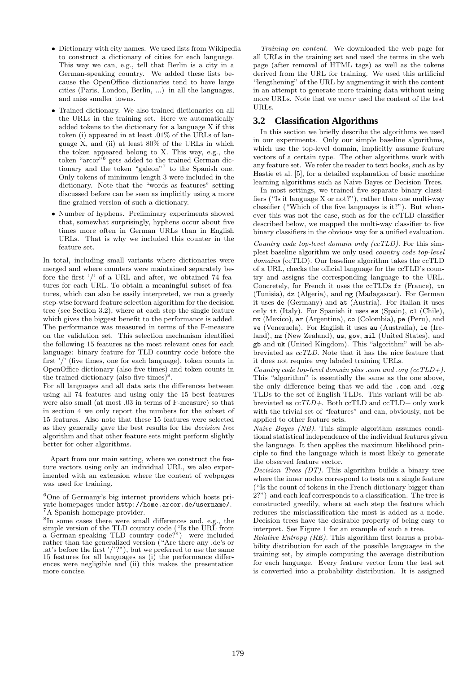- Dictionary with city names. We used lists from Wikipedia to construct a dictionary of cities for each language. This way we can, e.g., tell that Berlin is a city in a German-speaking country. We added these lists because the OpenOffice dictionaries tend to have large cities (Paris, London, Berlin, ...) in all the languages, and miss smaller towns.
- Trained dictionary. We also trained dictionaries on all the URLs in the training set. Here we automatically added tokens to the dictionary for a language X if this token (i) appeared in at least .01% of the URLs of language X, and (ii) at least 80% of the URLs in which the token appeared belong to X. This way, e.g., the token "arcor"<sup>6</sup> gets added to the trained German dictionary and the token "galeon"<sup>7</sup> to the Spanish one. Only tokens of minimum length 3 were included in the dictionary. Note that the "words as features" setting discussed before can be seen as implicitly using a more fine-grained version of such a dictionary.
- Number of hyphens. Preliminary experiments showed that, somewhat surprisingly, hyphens occur about five times more often in German URLs than in English URLs. That is why we included this counter in the feature set.

In total, including small variants where dictionaries were merged and where counters were maintained separately before the first '/' of a URL and after, we obtained 74 features for each URL. To obtain a meaningful subset of features, which can also be easily interpreted, we ran a greedy step-wise forward feature selection algorithm for the decision tree (see Section 3.2), where at each step the single feature which gives the biggest benefit to the performance is added. The performance was measured in terms of the F-measure on the validation set. This selection mechanism identified the following 15 features as the most relevant ones for each language: binary feature for TLD country code before the first '/' (five times, one for each language), token counts in OpenOffice dictionary (also five times) and token counts in the trained dictionary (also five times)<sup>8</sup>.

For all languages and all data sets the differences between using all 74 features and using only the 15 best features were also small (at most .03 in terms of F-measure) so that in section 4 we only report the numbers for the subset of 15 features. Also note that these 15 features were selected as they generally gave the best results for the decision tree algorithm and that other feature sets might perform slightly better for other algorithms.

Apart from our main setting, where we construct the feature vectors using only an individual URL, we also experimented with an extension where the content of webpages was used for training.

Training on content. We downloaded the web page for all URLs in the training set and used the terms in the web page (after removal of HTML tags) as well as the tokens derived from the URL for training. We used this artificial "lengthening" of the URL by augmenting it with the content in an attempt to generate more training data without using more URLs. Note that we never used the content of the test URLs.

# **3.2 Classification Algorithms**

In this section we briefly describe the algorithms we used in our experiments. Only our simple baseline algorithms, which use the top-level domain, implicitly assume feature vectors of a certain type. The other algorithms work with any feature set. We refer the reader to text books, such as by Hastie et al. [5], for a detailed explanation of basic machine learning algorithms such as Naive Bayes or Decision Trees.

In most settings, we trained five separate binary classifiers ("Is it language X or not?"), rather than one multi-way classifier ("Which of the five languages is it?"). But whenever this was not the case, such as for the ccTLD classifier described below, we mapped the multi-way classifier to five binary classifiers in the obvious way for a unified evaluation.

Country code top-level domain only  $(ccTLD)$ . For this simplest baseline algorithm we only used country code top-level domains (ccTLD). Our baseline algorithm takes the ccTLD of a URL, checks the official language for the ccTLD's country and assigns the corresponding language to the URL. Concretely, for French it uses the ccTLDs fr (France), tn (Tunisia), dz (Algeria), and mg (Madagascar). For German it uses de (Germany) and at (Austria). For Italian it uses only it (Italy). For Spanish it uses es (Spain), cl (Chile), mx (Mexico), ar (Argentina), co (Colombia), pe (Peru), and ve (Venezuela). For English it uses au (Australia), ie (Ireland), nz (New Zealand), us, gov, mil (United States), and gb and uk (United Kingdom). This "algorithm" will be abbreviated as ccTLD. Note that it has the nice feature that it does not require any labeled training URLs.

Country code top-level domain plus .com and .org  $(ccTLD+)$ . This "algorithm" is essentially the same as the one above, the only difference being that we add the .com and .org TLDs to the set of English TLDs. This variant will be abbreviated as  $ccTLD+$ . Both  $ccTLD$  and  $ccTLD+$  only work with the trivial set of "features" and can, obviously, not be applied to other feature sets.

Naive Bayes (NB). This simple algorithm assumes conditional statistical independence of the individual features given the language. It then applies the maximum likelihood principle to find the language which is most likely to generate the observed feature vector.

Decision Trees  $(DT)$ . This algorithm builds a binary tree where the inner nodes correspond to tests on a single feature ("Is the count of tokens in the French dictionary bigger than 2?") and each leaf corresponds to a classification. The tree is constructed greedily, where at each step the feature which reduces the misclassification the most is added as a node. Decision trees have the desirable property of being easy to interpret. See Figure 1 for an example of such a tree.

Relative Entropy  $(RE)$ . This algorithm first learns a probability distribution for each of the possible languages in the training set, by simple computing the average distribution for each language. Every feature vector from the test set is converted into a probability distribution. It is assigned

 $6$ One of Germany's big internet providers which hosts private homepages under http://home.arcor.de/username/. <sup>7</sup>A Spanish homepage provider.

<sup>8</sup> In some cases there were small differences and, e.g., the simple version of the TLD country code ("Is the URL from a German-speaking TLD country code?") were included rather than the generalized version ("Are there any .de's or .at's before the first  $\gamma$ '?"), but we preferred to use the same 15 features for all languages as (i) the performance differences were negligible and (ii) this makes the presentation more concise.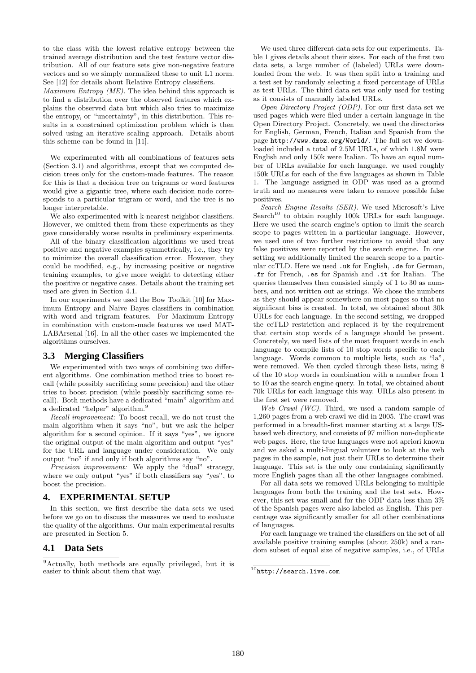to the class with the lowest relative entropy between the trained average distribution and the test feature vector distribution. All of our feature sets give non-negative feature vectors and so we simply normalized these to unit L1 norm. See [12] for details about Relative Entropy classifiers.

Maximum Entropy (ME). The idea behind this approach is to find a distribution over the observed features which explains the observed data but which also tries to maximize the entropy, or "uncertainty", in this distribution. This results in a constrained optimization problem which is then solved using an iterative scaling approach. Details about this scheme can be found in [11].

We experimented with all combinations of features sets (Section 3.1) and algorithms, except that we computed decision trees only for the custom-made features. The reason for this is that a decision tree on trigrams or word features would give a gigantic tree, where each decision node corresponds to a particular trigram or word, and the tree is no longer interpretable.

We also experimented with k-nearest neighbor classifiers. However, we omitted them from these experiments as they gave considerably worse results in preliminary experiments.

All of the binary classification algorithms we used treat positive and negative examples symmetrically, i.e., they try to minimize the overall classification error. However, they could be modified, e.g., by increasing positive or negative training examples, to give more weight to detecting either the positive or negative cases. Details about the training set used are given in Section 4.1.

In our experiments we used the Bow Toolkit [10] for Maximum Entropy and Naive Bayes classifiers in combination with word and trigram features. For Maximum Entropy in combination with custom-made features we used MAT-LABArsenal [16]. In all the other cases we implemented the algorithms ourselves.

## **3.3 Merging Classifiers**

We experimented with two ways of combining two different algorithms. One combination method tries to boost recall (while possibly sacrificing some precision) and the other tries to boost precision (while possibly sacrificing some recall). Both methods have a dedicated "main" algorithm and a dedicated "helper" algorithm.<sup>9</sup>

Recall improvement: To boost recall, we do not trust the main algorithm when it says "no", but we ask the helper algorithm for a second opinion. If it says "yes", we ignore the original output of the main algorithm and output "yes" for the URL and language under consideration. We only output "no" if and only if both algorithms say "no".

Precision improvement: We apply the "dual" strategy, where we only output "yes" if both classifiers say "yes", to boost the precision.

## **4. EXPERIMENTAL SETUP**

In this section, we first describe the data sets we used before we go on to discuss the measures we used to evaluate the quality of the algorithms. Our main experimental results are presented in Section 5.

## **4.1 Data Sets**

<sup>9</sup>Actually, both methods are equally privileged, but it is easier to think about them that way.

We used three different data sets for our experiments. Table 1 gives details about their sizes. For each of the first two data sets, a large number of (labeled) URLs were downloaded from the web. It was then split into a training and a test set by randomly selecting a fixed percentage of URLs as test URLs. The third data set was only used for testing as it consists of manually labeled URLs.

Open Directory Project (ODP). For our first data set we used pages which were filed under a certain language in the Open Directory Project. Concretely, we used the directories for English, German, French, Italian and Spanish from the page http://www.dmoz.org/World/. The full set we downloaded included a total of 2.5M URLs, of which 1.8M were English and only 150k were Italian. To have an equal number of URLs available for each language, we used roughly 150k URLs for each of the five languages as shown in Table 1. The language assigned in ODP was used as a ground truth and no measures were taken to remove possible false positives.

Search Engine Results (SER). We used Microsoft's Live Search<sup>10</sup> to obtain roughly 100k URLs for each language. Here we used the search engine's option to limit the search scope to pages written in a particular language. However, we used one of two further restrictions to avoid that any false positives were reported by the search engine. In one setting we additionally limited the search scope to a particular ccTLD. Here we used .uk for English, .de for German, .fr for French, .es for Spanish and .it for Italian. The queries themselves then consisted simply of 1 to 30 as numbers, and not written out as strings. We chose the numbers as they should appear somewhere on most pages so that no significant bias is created. In total, we obtained about 30k URLs for each language. In the second setting, we dropped the ccTLD restriction and replaced it by the requirement that certain stop words of a language should be present. Concretely, we used lists of the most frequent words in each language to compile lists of 10 stop words specific to each language. Words common to multiple lists, such as "la", were removed. We then cycled through these lists, using 8 of the 10 stop words in combination with a number from 1 to 10 as the search engine query. In total, we obtained about 70k URLs for each language this way. URLs also present in the first set were removed.

Web Crawl (WC). Third, we used a random sample of 1,260 pages from a web crawl we did in 2005. The crawl was performed in a breadth-first manner starting at a large USbased web directory, and consists of 97 million non-duplicate web pages. Here, the true languages were not apriori known and we asked a multi-lingual volunteer to look at the web pages in the sample, not just their URLs to determine their language. This set is the only one containing significantly more English pages than all the other languages combined.

For all data sets we removed URLs belonging to multiple languages from both the training and the test sets. However, this set was small and for the ODP data less than 3% of the Spanish pages were also labeled as English. This percentage was significantly smaller for all other combinations of languages.

For each language we trained the classifiers on the set of all available positive training samples (about 250k) and a random subset of equal size of negative samples, i.e., of URLs

 $^{10}$ http://search.live.com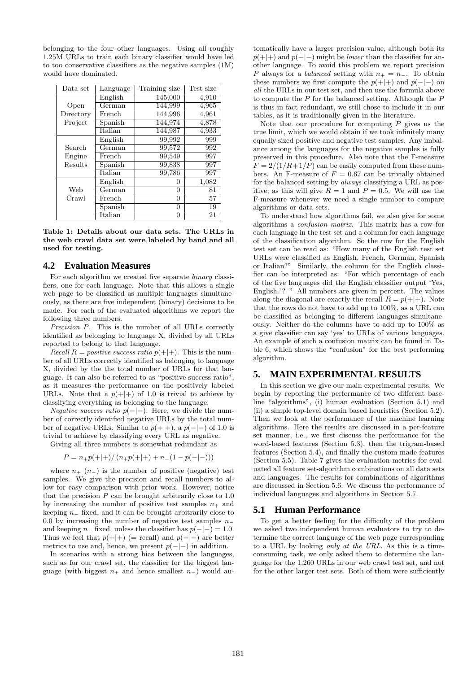belonging to the four other languages. Using all roughly 1.25M URLs to train each binary classifier would have led to too conservative classifiers as the negative samples (1M) would have dominated.

| Data set  | Language                   | Training size | Test size |
|-----------|----------------------------|---------------|-----------|
|           | English                    | 145,000       | 4,910     |
| Open      | $\overline{\text{German}}$ | 144,999       | 4,965     |
| Directory | French                     | 144,996       | 4,961     |
| Project   | Spanish                    | 144,974       | 4,878     |
|           | Italian                    | 144,987       | 4,933     |
|           | English                    | 99,992        | 999       |
| Search    | German                     | 99,572        | 992       |
| Engine    | French                     | 99,549        | 997       |
| Results   | Spanish                    | 99,838        | 997       |
|           | Italian                    | 99,786        | 997       |
|           | English                    | 0             | 1,082     |
| Web       | German                     | 0             | 81        |
| Crawl     | French                     | $^{(1)}$      | 57        |
|           | Spanish                    | 0             | 19        |
|           | Italian                    | $\mathbf{0}$  | 21        |

Table 1: Details about our data sets. The URLs in the web crawl data set were labeled by hand and all used for testing.

#### **4.2 Evaluation Measures**

For each algorithm we created five separate binary classifiers, one for each language. Note that this allows a single web page to be classified as multiple languages simultaneously, as there are five independent (binary) decisions to be made. For each of the evaluated algorithms we report the following three numbers.

Precision P. This is the number of all URLs correctly identified as belonging to language X, divided by all URLs reported to belong to that language.

Recall  $R = positive success ratio p(+|+)$ . This is the number of all URLs correctly identified as belonging to language X, divided by the the total number of URLs for that language. It can also be referred to as "positive success ratio", as it measures the performance on the positively labeled URLs. Note that a  $p(+|+)$  of 1.0 is trivial to achieve by classifying everything as belonging to the language.

Negative success ratio  $p(-|-)$ . Here, we divide the number of correctly identified negative URLs by the total number of negative URLs. Similar to  $p(+|+)$ , a  $p(-|-)$  of 1.0 is trivial to achieve by classifying every URL as negative.

Giving all three numbers is somewhat redundant as

$$
P = n_{+}p(+|+)/(n_{+}p(+|+) + n_{-}(1-p(-|-)))
$$

where  $n_{+}$  (n−) is the number of positive (negative) test samples. We give the precision and recall numbers to allow for easy comparison with prior work. However, notice that the precision  $P$  can be brought arbitrarily close to 1.0 by increasing the number of positive test samples  $n_+$  and keeping  $n_$  fixed, and it can be brought arbitrarily close to 0.0 by increasing the number of negative test samples  $n_-\$ and keeping  $n_+$  fixed, unless the classifier has  $p(-|-) = 1.0$ . Thus we feel that  $p(+|+)$  (= recall) and  $p(-|-)$  are better metrics to use and, hence, we present  $p(-|-)$  in addition.

In scenarios with a strong bias between the languages, such as for our crawl set, the classifier for the biggest language (with biggest  $n_+$  and hence smallest  $n_-$ ) would au-

tomatically have a larger precision value, although both its  $p(+|+)$  and  $p(-|-)$  might be *lower* than the classifier for another language. To avoid this problem we report precision P always for a *balanced* setting with  $n_{+} = n_{-}$ . To obtain these numbers we first compute the  $p(+|+)$  and  $p(-|-)$  on all the URLs in our test set, and then use the formula above to compute the  $P$  for the balanced setting. Although the  $P$ is thus in fact redundant, we still chose to include it in our tables, as it is traditionally given in the literature.

Note that our procedure for computing  $P$  gives us the true limit, which we would obtain if we took infinitely many equally sized positive and negative test samples. Any imbalance among the languages for the negative samples is fully preserved in this procedure. Also note that the F-measure  $F = 2/(1/R+1/P)$  can be easily computed from these numbers. An F-measure of  $F = 0.67$  can be trivially obtained for the balanced setting by always classifying a URL as positive, as this will give  $R = 1$  and  $P = 0.5$ . We will use the F-measure whenever we need a single number to compare algorithms or data sets.

To understand how algorithms fail, we also give for some algorithms a confusion matrix. This matrix has a row for each language in the test set and a column for each language of the classification algorithm. So the row for the English test set can be read as: "How many of the English test set URLs were classified as English, French, German, Spanish or Italian?" Similarly, the column for the English classifier can be interpreted as: "For which percentage of each of the five languages did the English classifier output 'Yes, English.'? " All numbers are given in percent. The values along the diagonal are exactly the recall  $R = p(+|+)$ . Note that the rows do not have to add up to 100%, as a URL can be classified as belonging to different languages simultaneously. Neither do the columns have to add up to 100% as a give classifier can say 'yes' to URLs of various languages. An example of such a confusion matrix can be found in Table 6, which shows the "confusion" for the best performing algorithm.

## **5. MAIN EXPERIMENTAL RESULTS**

In this section we give our main experimental results. We begin by reporting the performance of two different baseline "algorithms", (i) human evaluation (Section 5.1) and (ii) a simple top-level domain based heuristics (Section 5.2). Then we look at the performance of the machine learning algorithms. Here the results are discussed in a per-feature set manner, i.e., we first discuss the performance for the word-based features (Section 5.3), then the trigram-based features (Section 5.4), and finally the custom-made features (Section 5.5). Table 7 gives the evaluation metrics for evaluated all feature set-algorithm combinations on all data sets and languages. The results for combinations of algorithms are discussed in Section 5.6. We discuss the performance of individual languages and algorithms in Section 5.7.

#### **5.1 Human Performance**

To get a better feeling for the difficulty of the problem we asked two independent human evaluators to try to determine the correct language of the web page corresponding to a URL by looking only at the URL. As this is a timeconsuming task, we only asked them to determine the language for the 1,260 URLs in our web crawl test set, and not for the other larger test sets. Both of them were sufficiently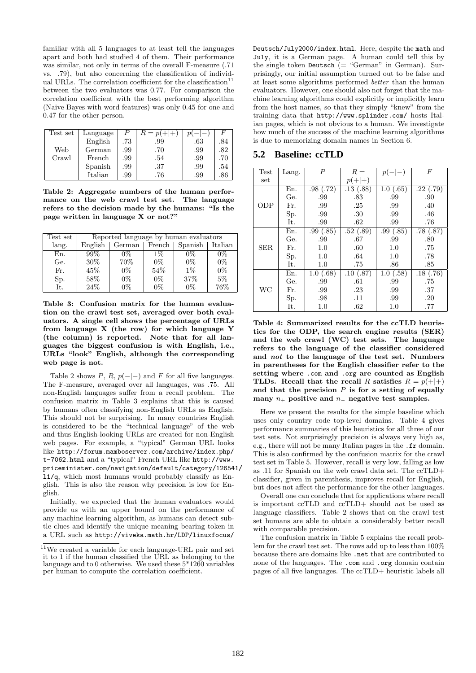familiar with all 5 languages to at least tell the languages apart and both had studied 4 of them. Their performance was similar, not only in terms of the overall F-measure (.71 vs. .79), but also concerning the classification of individual URLs. The correlation coefficient for the classification $11$ between the two evaluators was 0.77. For comparison the correlation coefficient with the best performing algorithm (Naive Bayes with word features) was only 0.45 for one and 0.47 for the other person.

| Test set | Language |     | $R = p(+ +)$ |     |     |
|----------|----------|-----|--------------|-----|-----|
|          | English  | .73 | .99          | .63 | .84 |
| Web      | German   | .99 | .70          | .99 | .82 |
| Crawl    | French   | .99 | .54          | .99 | .70 |
|          | Spanish  | .99 | .37          | .99 | .54 |
|          | Italian  | .99 | .76          | .99 |     |

Table 2: Aggregate numbers of the human performance on the web crawl test set. The language refers to the decision made by the humans: "Is the page written in language X or not?"

| Test set | Reported language by human evaluators |        |        |         |         |  |  |  |  |  |  |
|----------|---------------------------------------|--------|--------|---------|---------|--|--|--|--|--|--|
| lang.    | English                               | German | French | Spanish | Italian |  |  |  |  |  |  |
| En.      | $99\%$                                | $0\%$  | $1\%$  | $0\%$   | $0\%$   |  |  |  |  |  |  |
| Ge.      | $30\%$                                | 70%    | $0\%$  | $0\%$   | $0\%$   |  |  |  |  |  |  |
| Fr.      | 45%                                   | $0\%$  | 54%    | $1\%$   | $0\%$   |  |  |  |  |  |  |
| Sp.      | 58\%                                  | $0\%$  | $0\%$  | 37\%    | 5%      |  |  |  |  |  |  |
| It.      | 24%                                   | $0\%$  | $0\%$  | $0\%$   | 76%     |  |  |  |  |  |  |

Table 3: Confusion matrix for the human evaluation on the crawl test set, averaged over both evaluators. A single cell shows the percentage of URLs from language X (the row) for which language Y (the column) is reported. Note that for all languages the biggest confusion is with English, i.e., URLs "look" English, although the corresponding web page is not.

Table 2 shows P, R,  $p(-|-)$  and F for all five languages. The F-measure, averaged over all languages, was .75. All non-English languages suffer from a recall problem. The confusion matrix in Table 3 explains that this is caused by humans often classifying non-English URLs as English. This should not be surprising. In many countries English is considered to be the "technical language" of the web and thus English-looking URLs are created for non-English web pages. For example, a "typical" German URL looks like http://forum.mamboserver.com/archive/index.php/ t-7062.html and a "typical" French URL like http://www. priceminister.com/navigation/default/category/126541/ l1/q, which most humans would probably classify as English. This is also the reason why precision is low for English.

Initially, we expected that the human evaluators would provide us with an upper bound on the performance of any machine learning algorithm, as humans can detect subtle clues and identify the unique meaning bearing token in a URL such as http://viveka.math.hr/LDP/linuxfocus/

Deutsch/July2000/index.html. Here, despite the math and July, it is a German page. A human could tell this by the single token Deutsch  $($  = "German" in German). Surprisingly, our initial assumption turned out to be false and at least some algorithms performed better than the human evaluators. However, one should also not forget that the machine learning algorithms could explicitly or implicitly learn from the host names, so that they simply "knew" from the training data that http://www.splinder.com/ hosts Italian pages, which is not obvious to a human. We investigate how much of the success of the machine learning algorithms is due to memorizing domain names in Section 6.

#### **5.2 Baseline: ccTLD**

| <b>Test</b> | Lang.                      | $\boldsymbol{P}$ | $R =$    | $p(- -)$              | F        |
|-------------|----------------------------|------------------|----------|-----------------------|----------|
| set         |                            |                  | $p(+ +)$ |                       |          |
|             | $\overline{\mathrm{E}}$ n. | .98(.72)         | .13(.88) | $1.\overline{0(.65)}$ | .22(.79) |
|             | Ge.                        | .99              | .83      | .99                   | .90      |
| <b>ODP</b>  | Fr.                        | .99              | .25      | .99                   | .40      |
|             | Sp.                        | .99              | .30      | .99                   | .46      |
|             | It.                        | .99              | .62      | .99                   | .76      |
|             | En.                        | .99(.85)         | .52(.89) | .99(.85)              | .78(.87) |
|             | Ge.                        | .99              | .67      | .99                   | .80      |
| SER.        | Fr.                        | 1.0              | .60      | 1.0                   | .75      |
|             | Sp.                        | 1.0              | .64      | 1.0                   | .78      |
|             | It.                        | 1.0              | .75      | .86                   | .85      |
|             | En.                        | 1.0(0.68)        | .10(.87) | 1.0(0.58)             | .18(.76) |
|             | Ge.                        | .99              | .61      | .99                   | .75      |
| WC          | Fr.                        | .99              | .23      | .99                   | .37      |
|             | Sp.                        | .98              | .11      | .99                   | .20      |
|             | It.                        | 1.0              | .62      | 1.0                   | .77      |

Table 4: Summarized results for the ccTLD heuristics for the ODP, the search engine results (SER) and the web crawl (WC) test sets. The language refers to the language of the classifier considered and not to the language of the test set. Numbers in parentheses for the English classifier refer to the setting where .com and .org are counted as English TLDs. Recall that the recall R satisfies  $R = p(+|+)$ and that the precision  $P$  is for a setting of equally many  $n_+$  positive and  $n_-$  negative test samples.

Here we present the results for the simple baseline which uses only country code top-level domains. Table 4 gives performance summaries of this heuristics for all three of our test sets. Not surprisingly precision is always very high as, e.g., there will not be many Italian pages in the .fr domain. This is also confirmed by the confusion matrix for the crawl test set in Table 5. However, recall is very low, falling as low as .11 for Spanish on the web crawl data set. The ccTLD+ classifier, given in parenthesis, improves recall for English, but does not affect the performance for the other languages.

Overall one can conclude that for applications where recall is important ccTLD and ccTLD+ should not be used as language classifiers. Table 2 shows that on the crawl test set humans are able to obtain a considerably better recall with comparable precision.

The confusion matrix in Table 5 explains the recall problem for the crawl test set. The rows add up to less than 100% because there are domains like .net that are contributed to none of the languages. The .com and .org domain contain pages of all five languages. The ccTLD+ heuristic labels all

 $^{11}{\rm{We}}$  created a variable for each language-URL pair and set it to 1 if the human classified the URL as belonging to the language and to 0 otherwise. We used these 5\*1260 variables per human to compute the correlation coefficient.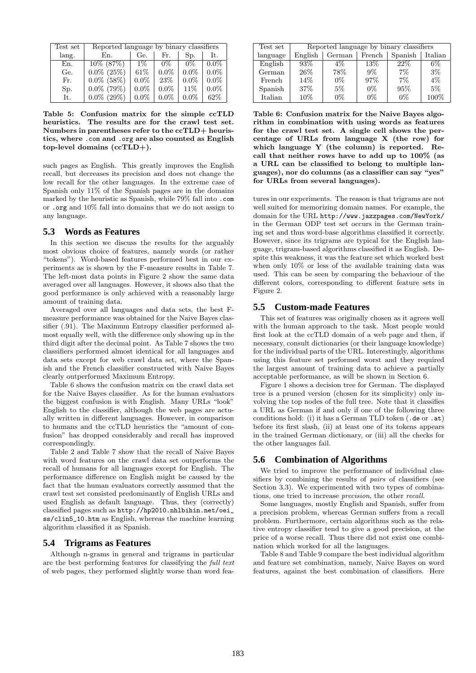| Test set | Reported language by binary classifiers |            |         |         |         |  |  |  |  |  |  |
|----------|-----------------------------------------|------------|---------|---------|---------|--|--|--|--|--|--|
| lang.    | En.                                     | Ge.<br>Fr. |         | Sp.     | It.     |  |  |  |  |  |  |
| En.      | $10\%$ (87\%)                           | $1\%$      | $0\%$   | $0\%$   | $0.0\%$ |  |  |  |  |  |  |
| Ge.      | $0.0\%$ (25%)                           | 61\%       | $0.0\%$ | $0.0\%$ | $0.0\%$ |  |  |  |  |  |  |
| Fr.      | $0.0\%$ (58%)                           | $0.0\%$    | 23\%    | $0.0\%$ | $0.0\%$ |  |  |  |  |  |  |
| Sp.      | $0.0\%$ (79%)                           | $0.0\%$    | $0.0\%$ | 11%     | $0.0\%$ |  |  |  |  |  |  |
| It.      | $0.0\%$ (29%)                           | $0.0\%$    | $0.0\%$ | $0.0\%$ | 62\%    |  |  |  |  |  |  |

Table 5: Confusion matrix for the simple ccTLD heuristics. The results are for the crawl test set. Numbers in parentheses refer to the ccTLD+ heuristics, where .com and .org are also counted as English top-level domains (ccTLD+).

such pages as English. This greatly improves the English recall, but decreases its precision and does not change the low recall for the other languages. In the extreme case of Spanish only 11% of the Spanish pages are in the domains marked by the heuristic as Spanish, while 79% fall into .com or .org and 10% fall into domains that we do not assign to any language.

#### **5.3 Words as Features**

In this section we discuss the results for the arguably most obvious choice of features, namely words (or rather "tokens"). Word-based features performed best in our experiments as is shown by the F-measure results in Table 7. The left-most data points in Figure 2 show the same data averaged over all languages. However, it shows also that the good performance is only achieved with a reasonably large amount of training data.

Averaged over all languages and data sets, the best Fmeasure performance was obtained for the Naive Bayes classifier (.91). The Maximum Entropy classifier performed almost equally well, with the difference only showing up in the third digit after the decimal point. As Table 7 shows the two classifiers performed almost identical for all languages and data sets except for web crawl data set, where the Spanish and the French classifier constructed with Naive Bayes clearly outperformed Maximum Entropy.

Table 6 shows the confusion matrix on the crawl data set for the Naive Bayes classifier. As for the human evaluators the biggest confusion is with English. Many URLs "look" English to the classifier, although the web pages are actually written in different languages. However, in comparison to humans and the ccTLD heuristics the "amount of confusion" has dropped considerably and recall has improved correspondingly.

Table 2 and Table 7 show that the recall of Naive Bayes with word features on the crawl data set outperforms the recall of humans for all languages except for English. The performance difference on English might be caused by the fact that the human evaluators correctly assumed that the crawl test set consisted predominantly of English URLs and used English as default language. Thus, they (correctly) classified pages such as http://hp2010.nhlbihin.net/oei\_ ss/clin5\_10.htm as English, whereas the machine learning algorithm classified it as Spanish.

## **5.4 Trigrams as Features**

Although n-grams in general and trigrams in particular are the best performing features for classifying the full text of web pages, they performed slightly worse than word fea-

| Test set |         | Reported language by binary classifiers |        |         |         |  |  |  |  |  |  |  |
|----------|---------|-----------------------------------------|--------|---------|---------|--|--|--|--|--|--|--|
| language | English | German                                  | French | Spanish | Italian |  |  |  |  |  |  |  |
| English  | $93\%$  | 4%                                      | $13\%$ | 22%     | $6\%$   |  |  |  |  |  |  |  |
| German   | 26\%    | 78%                                     | 9%     | $7\%$   | 3%      |  |  |  |  |  |  |  |
| French   | 14%     | $0\%$                                   | 97%    | 7%      | $4\%$   |  |  |  |  |  |  |  |
| Spanish  | 37\%    | 5%                                      | $0\%$  | 95%     | 5%      |  |  |  |  |  |  |  |
| Italian  | 10%     | $0\%$                                   | $0\%$  | 0%      | 100%    |  |  |  |  |  |  |  |

Table 6: Confusion matrix for the Naive Bayes algorithm in combination with using words as features for the crawl test set. A single cell shows the percentage of URLs from language X (the row) for which language Y (the column) is reported. Recall that neither rows have to add up to 100% (as a URL can be classified to belong to multiple languages), nor do columns (as a classifier can say "yes" for URLs from several languages).

tures in our experiments. The reason is that trigrams are not well suited for memorizing domain names. For example, the domain for the URL http://www.jazzpages.com/NewYork/ in the German ODP test set occurs in the German training set and thus word-base algorithms classified it correctly. However, since its trigrams are typical for the English language, trigram-based algorithms classified it as English. Despite this weakness, it was the feature set which worked best when only 10% or less of the available training data was used. This can be seen by comparing the behaviour of the different colors, corresponding to different feature sets in Figure 2.

## **5.5 Custom-made Features**

This set of features was originally chosen as it agrees well with the human approach to the task. Most people would first look at the ccTLD domain of a web page and then, if necessary, consult dictionaries (or their language knowledge) for the individual parts of the URL. Interestingly, algorithms using this feature set performed worst and they required the largest amount of training data to achieve a partially acceptable performance, as will be shown in Section 6.

Figure 1 shows a decision tree for German. The displayed tree is a pruned version (chosen for its simplicity) only involving the top nodes of the full tree. Note that it classifies a URL as German if and only if one of the following three conditions hold: (i) it has a German TLD token (.de or .at) before its first slash, (ii) at least one of its tokens appears in the trained German dictionary, or (iii) all the checks for the other languages fail.

## **5.6 Combination of Algorithms**

We tried to improve the performance of individual classifiers by combining the results of pairs of classifiers (see Section 3.3). We experimented with two types of combinations, one tried to increase precision, the other recall.

Some languages, mostly English and Spanish, suffer from a precision problem, whereas German suffers from a recall problem. Furthermore, certain algorithms such as the relative entropy classifier tend to give a good precision, at the price of a worse recall. Thus there did not exist one combination which worked for all the languages.

Table 8 and Table 9 compare the best individual algorithm and feature set combination, namely, Naive Bayes on word features, against the best combination of classifiers. Here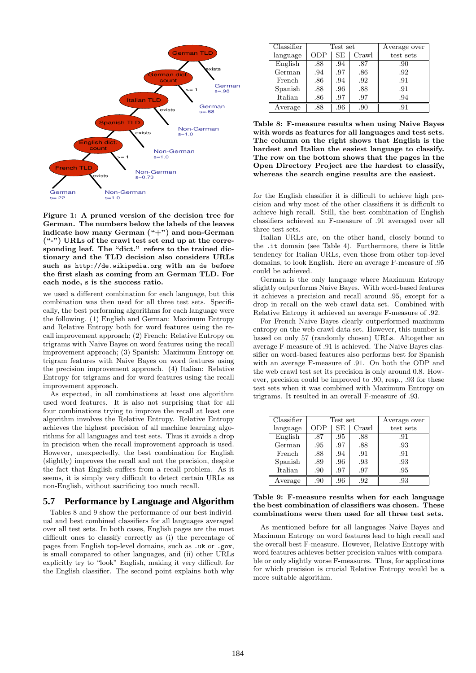

Figure 1: A pruned version of the decision tree for German. The numbers below the labels of the leaves indicate how many German  $($ "+") and non-German ("-") URLs of the crawl test set end up at the corresponding leaf. The "dict." refers to the trained dictionary and the TLD decision also considers URLs such as http://de.wikipedia.org with an de before the first slash as coming from an German TLD. For each node, s is the success ratio.

we used a different combination for each language, but this combination was then used for all three test sets. Specifically, the best performing algorithms for each language were the following. (1) English and German: Maximum Entropy and Relative Entropy both for word features using the recall improvement approach; (2) French: Relative Entropy on trigrams with Naive Bayes on word features using the recall improvement approach; (3) Spanish: Maximum Entropy on trigram features with Naive Bayes on word features using the precision improvement approach. (4) Italian: Relative Entropy for trigrams and for word features using the recall improvement approach.

As expected, in all combinations at least one algorithm used word features. It is also not surprising that for all four combinations trying to improve the recall at least one algorithm involves the Relative Entropy. Relative Entropy achieves the highest precision of all machine learning algorithms for all languages and test sets. Thus it avoids a drop in precision when the recall improvement approach is used. However, unexpectedly, the best combination for English (slightly) improves the recall and not the precision, despite the fact that English suffers from a recall problem. As it seems, it is simply very difficult to detect certain URLs as non-English, without sacrificing too much recall.

## **5.7 Performance by Language and Algorithm**

Tables 8 and 9 show the performance of our best individual and best combined classifiers for all languages averaged over all test sets. In both cases, English pages are the most difficult ones to classify correctly as (i) the percentage of pages from English top-level domains, such as .uk or .gov, is small compared to other languages, and (ii) other URLs explicitly try to "look" English, making it very difficult for the English classifier. The second point explains both why

| Classifier |            | Test set | Average over |           |
|------------|------------|----------|--------------|-----------|
| language   | <b>ODP</b> | SE.      | Crawl        | test sets |
| English    | .88        | .94      | .87          | .90       |
| German     | .94        | .97      | .86          | .92       |
| French     | .86        | .94      | .92          | .91       |
| Spanish    | .88        | .96      | .88          | .91       |
| Italian    | .86        | .97      | .97          | .94       |
| Average    | .88        | .96      | .90          | .91       |

Table 8: F-measure results when using Naive Bayes with words as features for all languages and test sets. The column on the right shows that English is the hardest and Italian the easiest language to classify. The row on the bottom shows that the pages in the Open Directory Project are the hardest to classify, whereas the search engine results are the easiest.

for the English classifier it is difficult to achieve high precision and why most of the other classifiers it is difficult to achieve high recall. Still, the best combination of English classifiers achieved an F-measure of .91 averaged over all three test sets.

Italian URLs are, on the other hand, closely bound to the .it domain (see Table 4). Furthermore, there is little tendency for Italian URLs, even those from other top-level domains, to look English. Here an average F-measure of .95 could be achieved.

German is the only language where Maximum Entropy slightly outperforms Naive Bayes. With word-based features it achieves a precision and recall around .95, except for a drop in recall on the web crawl data set. Combined with Relative Entropy it achieved an average F-measure of .92.

For French Naive Bayes clearly outperformed maximum entropy on the web crawl data set. However, this number is based on only 57 (randomly chosen) URLs. Altogether an average F-measure of .91 is achieved. The Naive Bayes classifier on word-based features also performs best for Spanish with an average F-measure of .91. On both the ODP and the web crawl test set its precision is only around 0.8. However, precision could be improved to .90, resp., .93 for these test sets when it was combined with Maximum Entropy on trigrams. It resulted in an overall F-measure of .93.

| Classifier |            | Test set  | Average over |           |
|------------|------------|-----------|--------------|-----------|
| language   | <b>ODP</b> | <b>SE</b> | Crawl        | test sets |
| English    | .87        | .95       | .88          | .91       |
| German     | .95        | .97       | .88          | .93       |
| French     | .88        | .94       | .91          | .91       |
| Spanish    | .89        | .96       | .93          | .93       |
| Italian    | .90        | .97       | .97          | .95       |
| Average    | .90        | .96       | .92          | .93       |

#### Table 9: F-measure results when for each language the best combination of classifiers was chosen. These combinations were then used for all three test sets.

As mentioned before for all languages Naive Bayes and Maximum Entropy on word features lead to high recall and the overall best F-measure. However, Relative Entropy with word features achieves better precision values with comparable or only slightly worse F-measures. Thus, for applications for which precision is crucial Relative Entropy would be a more suitable algorithm.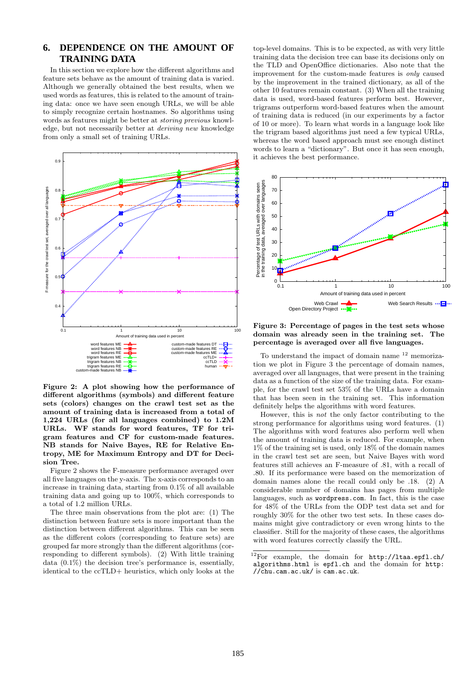# **6. DEPENDENCE ON THE AMOUNT OF TRAINING DATA**

In this section we explore how the different algorithms and feature sets behave as the amount of training data is varied. Although we generally obtained the best results, when we used words as features, this is related to the amount of training data: once we have seen enough URLs, we will be able to simply recognize certain hostnames. So algorithms using words as features might be better at storing previous knowledge, but not necessarily better at deriving new knowledge from only a small set of training URLs.



Figure 2: A plot showing how the performance of different algorithms (symbols) and different feature sets (colors) changes on the crawl test set as the amount of training data is increased from a total of 1,224 URLs (for all languages combined) to 1.2M URLs. WF stands for word features, TF for trigram features and CF for custom-made features. NB stands for Naive Bayes, RE for Relative Entropy, ME for Maximum Entropy and DT for Decision Tree.

Figure 2 shows the F-measure performance averaged over all five languages on the y-axis. The x-axis corresponds to an increase in training data, starting from 0.1% of all available training data and going up to 100%, which corresponds to a total of 1.2 million URLs.

The three main observations from the plot are: (1) The distinction between feature sets is more important than the distinction between different algorithms. This can be seen as the different colors (corresponding to feature sets) are grouped far more strongly than the different algorithms (corresponding to different symbols). (2) With little training data (0.1%) the decision tree's performance is, essentially, identical to the ccTLD+ heuristics, which only looks at the

top-level domains. This is to be expected, as with very little training data the decision tree can base its decisions only on the TLD and OpenOffice dictionaries. Also note that the improvement for the custom-made features is only caused by the improvement in the trained dictionary, as all of the other 10 features remain constant. (3) When all the training data is used, word-based features perform best. However, trigrams outperform word-based features when the amount of training data is reduced (in our experiments by a factor of 10 or more). To learn what words in a language look like the trigram based algorithms just need a few typical URLs, whereas the word based approach must see enough distinct words to learn a "dictionary". But once it has seen enough, it achieves the best performance.



Figure 3: Percentage of pages in the test sets whose domain was already seen in the training set. The percentage is averaged over all five languages.

To understand the impact of domain name <sup>12</sup> memorization we plot in Figure 3 the percentage of domain names, averaged over all languages, that were present in the training data as a function of the size of the training data. For example, for the crawl test set 53% of the URLs have a domain that has been seen in the training set. This information definitely helps the algorithms with word features.

However, this is not the only factor contributing to the strong performance for algorithms using word features. (1) The algorithms with word features also perform well when the amount of training data is reduced. For example, when 1% of the training set is used, only 18% of the domain names in the crawl test set are seen, but Naive Bayes with word features still achieves an F-measure of .81, with a recall of .80. If its performance were based on the memorization of domain names alone the recall could only be .18. (2) A considerable number of domains has pages from multiple languages, such as wordpress.com. In fact, this is the case for 48% of the URLs from the ODP test data set and for roughly 30% for the other two test sets. In these cases domains might give contradictory or even wrong hints to the classifier. Still for the majority of these cases, the algorithms with word features correctly classify the URL.

<sup>12</sup>For example, the domain for http://ltaa.epfl.ch/ algorithms.html is epfl.ch and the domain for http: //chu.cam.ac.uk/ is cam.ac.uk.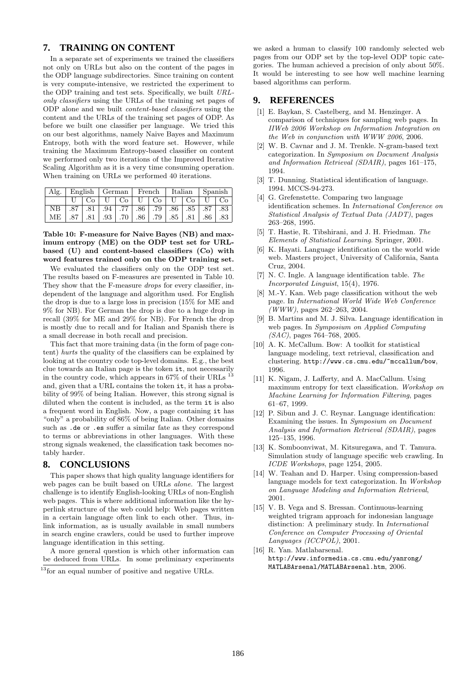## **7. TRAINING ON CONTENT**

In a separate set of experiments we trained the classifiers not only on URLs but also on the content of the pages in the ODP language subdirectories. Since training on content is very compute-intensive, we restricted the experiment to the ODP training and test sets. Specifically, we built URLonly classifiers using the URLs of the training set pages of ODP alone and we built content-based classifiers using the content and the URLs of the training set pages of ODP. As before we built one classifier per language. We tried this on our best algorithms, namely Naive Bayes and Maximum Entropy, both with the word feature set. However, while training the Maximum Entropy-based classifier on content we performed only two iterations of the Improved Iterative Scaling Algorithm as it is a very time consuming operation. When training on URLs we performed 40 iterations.

|  |  |  | Alg.   English   German   French   Italian   Spanish           |  |  |  |  |  |  |  |
|--|--|--|----------------------------------------------------------------|--|--|--|--|--|--|--|
|  |  |  | $U   C0   U   C0   U   C0   U   C0   U   C0$                   |  |  |  |  |  |  |  |
|  |  |  | NB   .87   .81   .94   .77   .86   .79   .86   .85   .87   .83 |  |  |  |  |  |  |  |
|  |  |  | ME   .87   .81   .93   .70   .86   .79   .85   .81   .86   .83 |  |  |  |  |  |  |  |

#### Table 10: F-measure for Naive Bayes (NB) and maximum entropy (ME) on the ODP test set for URLbased (U) and content-based classifiers (Co) with word features trained only on the ODP training set.

We evaluated the classifiers only on the ODP test set. The results based on F-measures are presented in Table 10. They show that the F-measure *drops* for every classifier, independent of the language and algorithm used. For English the drop is due to a large loss in precision (15% for ME and 9% for NB). For German the drop is due to a huge drop in recall (39% for ME and 29% for NB). For French the drop is mostly due to recall and for Italian and Spanish there is a small decrease in both recall and precision.

This fact that more training data (in the form of page content) hurts the quality of the classifiers can be explained by looking at the country code top-level domains. E.g., the best clue towards an Italian page is the token it, not necessarily in the country code, which appears in  $67\%$  of their URLs  $^{13}$ and, given that a URL contains the token it, it has a probability of 99% of being Italian. However, this strong signal is diluted when the content is included, as the term it is also a frequent word in English. Now, a page containing it has "only" a probability of 86% of being Italian. Other domains such as .de or .es suffer a similar fate as they correspond to terms or abbreviations in other languages. With these strong signals weakened, the classification task becomes notably harder.

#### **8. CONCLUSIONS**

This paper shows that high quality language identifiers for web pages can be built based on URLs alone. The largest challenge is to identify English-looking URLs of non-English web pages. This is where additional information like the hyperlink structure of the web could help: Web pages written in a certain language often link to each other. Thus, inlink information, as is usually available in small numbers in search engine crawlers, could be used to further improve language identification in this setting.

A more general question is which other information can be deduced from URLs. In some preliminary experiments

we asked a human to classify 100 randomly selected web pages from our ODP set by the top-level ODP topic categories. The human achieved a precision of only about 50%. It would be interesting to see how well machine learning based algorithms can perform.

#### **9. REFERENCES**

- [1] E. Baykan, S. Castelberg, and M. Henzinger. A comparison of techniques for sampling web pages. In IIWeb 2006 Workshop on Information Integration on the Web in conjunction with WWW 2006, 2006.
- [2] W. B. Cavnar and J. M. Trenkle. N-gram-based text categorization. In Symposium on Document Analysis and Information Retrieval (SDAIR), pages 161–175, 1994.
- [3] T. Dunning. Statistical identification of language. 1994. MCCS-94-273.
- [4] G. Grefenstette. Comparing two language identification schemes. In International Conference on Statistical Analysis of Textual Data (JADT), pages 263–268, 1995.
- [5] T. Hastie, R. Tibshirani, and J. H. Friedman. The Elements of Statistical Learning. Springer, 2001.
- [6] K. Hayati. Language identification on the world wide web. Masters project, University of California, Santa Cruz, 2004.
- [7] N. C. Ingle. A language identification table. The Incorporated Linguist, 15(4), 1976.
- [8] M.-Y. Kan. Web page classification without the web page. In International World Wide Web Conference (WWW), pages 262–263, 2004.
- [9] B. Martins and M. J. Silva. Language identification in web pages. In Symposium on Applied Computing (SAC), pages 764–768, 2005.
- [10] A. K. McCallum. Bow: A toolkit for statistical language modeling, text retrieval, classification and clustering. http://www.cs.cmu.edu/~mccallum/bow, 1996.
- [11] K. Nigam, J. Lafferty, and A. MacCallum. Using maximum entropy for text classification. Workshop on Machine Learning for Information Filtering, pages 61–67, 1999.
- [12] P. Sibun and J. C. Reynar. Language identification: Examining the issues. In Symposium on Document Analysis and Information Retrieval (SDAIR), pages 125–135, 1996.
- [13] K. Somboonviwat, M. Kitsuregawa, and T. Tamura. Simulation study of language specific web crawling. In ICDE Workshops, page 1254, 2005.
- [14] W. Teahan and D. Harper. Using compression-based language models for text categorization. In Workshop on Language Modeling and Information Retrieval, 2001.
- [15] V. B. Vega and S. Bressan. Continuous-learning weighted trigram approach for indonesian language distinction: A preliminary study. In International Conference on Computer Processing of Oriental Languages (ICCPOL), 2001.
- [16] R. Yan. Matlabarsenal. http://www.informedia.cs.cmu.edu/yanrong/ MATLABArsenal/MATLABArsenal.htm, 2006.

<sup>&</sup>lt;sup>13</sup> for an equal number of positive and negative URLs.